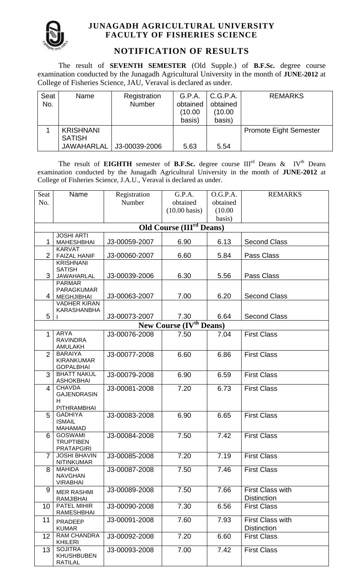

### **JUNAGADH AGRICULTURAL UNIVERSITY FACULTY OF FISHERIES SCIENCE**

## **NOTIFICATION OF RESULTS**

The result of **SEVENTH SEMESTER** (Old Supple.) of **B.F.Sc.** degree course examination conducted by the Junagadh Agricultural University in the month of **JUNE-2012** at College of Fisheries Science, JAU, Veraval is declared as under.

| Seat | Name              | Registration  | G.P.A.              | C.G.P.A.           | <b>REMARKS</b>                |
|------|-------------------|---------------|---------------------|--------------------|-------------------------------|
| No.  |                   | <b>Number</b> | obtained<br>(10.00) | obtained<br>(10.00 |                               |
|      |                   |               |                     |                    |                               |
|      |                   |               | basis)              | basis)             |                               |
|      | <b>KRISHNANI</b>  |               |                     |                    | <b>Promote Eight Semester</b> |
|      | <b>SATISH</b>     |               |                     |                    |                               |
|      | <b>JAWAHARLAL</b> | J3-00039-2006 | 5.63                | 5.54               |                               |

The result of **EIGHTH** semester of **B.F.Sc.** degree course III<sup>rd</sup> Deans & IV<sup>th</sup> Deans examination conducted by the Junagadh Agricultural University in the month of **JUNE-2012** at College of Fisheries Science, J.A.U., Veraval is declared as under.

| Seat<br>No.                                | Name                                                     | Registration<br>Number | G.P.A.<br>obtained<br>$(10.00 \text{ basis})$ | O.G.P.A.<br>obtained<br>(10.00)<br>basis) | <b>REMARKS</b>                                |  |  |
|--------------------------------------------|----------------------------------------------------------|------------------------|-----------------------------------------------|-------------------------------------------|-----------------------------------------------|--|--|
| <b>Old Course (III<sup>rd</sup> Deans)</b> |                                                          |                        |                                               |                                           |                                               |  |  |
| 1                                          | <b>JOSHI ARTI</b><br><b>MAHESHBHAI</b>                   | J3-00059-2007          | 6.90                                          | 6.13                                      | <b>Second Class</b>                           |  |  |
| $\overline{2}$                             | <b>KARVAT</b><br><b>FAIZAL HANIF</b>                     | J3-00060-2007          | 6.60                                          | 5.84                                      | Pass Class                                    |  |  |
| 3                                          | <b>KRISHNANI</b><br><b>SATISH</b><br>JAWAHARLAL          | J3-00039-2006          | 6.30                                          | 5.56                                      | Pass Class                                    |  |  |
| 4                                          | <b>PARMAR</b><br>PARAGKUMAR<br><b>MEGHJIBHAI</b>         | J3-00063-2007          | 7.00                                          | 6.20                                      | <b>Second Class</b>                           |  |  |
| 5                                          | <b>VADHER KIRAN</b><br>KARASHANBHA                       | J3-00073-2007          | 7.30                                          | 6.64                                      | <b>Second Class</b>                           |  |  |
|                                            |                                                          |                        | <b>New Course (IV<sup>th</sup> Deans)</b>     |                                           |                                               |  |  |
| 1                                          | <b>ARYA</b><br><b>RAVINDRA</b><br>AMULAKH                | J3-00076-2008          | 7.50                                          | 7.04                                      | <b>First Class</b>                            |  |  |
| 2                                          | <b>BARAIYA</b><br><b>KIRANKUMAR</b><br><b>GOPALBHAI</b>  | J3-00077-2008          | 6.60                                          | 6.86                                      | <b>First Class</b>                            |  |  |
| 3                                          | <b>BHATT NAKUL</b><br><b>ASHOKBHAI</b>                   | J3-00079-2008          | 6.90                                          | 6.59                                      | <b>First Class</b>                            |  |  |
| 4                                          | <b>CHAVDA</b><br><b>GAJENDRASIN</b><br>H.<br>PITHRAMBHAI | J3-00081-2008          | 7.20                                          | 6.73                                      | <b>First Class</b>                            |  |  |
| 5                                          | <b>GADHIYA</b><br><b>ISMAIL</b><br><b>MAHAMAD</b>        | J3-00083-2008          | 6.90                                          | 6.65                                      | <b>First Class</b>                            |  |  |
| 6                                          | <b>GOSWAMI</b><br><b>TRUPTIBEN</b><br><b>PRATAPGIRI</b>  | J3-00084-2008          | 7.50                                          | 7.42                                      | <b>First Class</b>                            |  |  |
| $\overline{7}$                             | <b>JOSHI BHAVIN</b><br><b>NITINKUMAR</b>                 | J3-00085-2008          | 7.20                                          | 7.19                                      | <b>First Class</b>                            |  |  |
| 8                                          | <b>MAHIDA</b><br><b>NAVGHAN</b><br><b>VIRABHAI</b>       | J3-00087-2008          | 7.50                                          | 7.46                                      | <b>First Class</b>                            |  |  |
| 9                                          | <b>MER RASHMI</b><br>RAMJIBHAI                           | J3-00089-2008          | 7.50                                          | 7.66                                      | <b>First Class with</b><br><b>Distinction</b> |  |  |
| 10                                         | PATEL MIHIR<br><b>RAMESHBHAI</b>                         | J3-00090-2008          | 7.30                                          | 6.56                                      | <b>First Class</b>                            |  |  |
| 11                                         | <b>PRADEEP</b><br><b>KUMAR</b>                           | J3-00091-2008          | 7.60                                          | 7.93                                      | <b>First Class with</b><br><b>Distinction</b> |  |  |
| 12                                         | RAM CHANDRA<br><b>KHILERI</b>                            | J3-00092-2008          | 7.20                                          | 6.60                                      | <b>First Class</b>                            |  |  |
| 13                                         | <b>SOJITRA</b><br><b>KHUSHBUBEN</b><br><b>RATILAL</b>    | J3-00093-2008          | 7.00                                          | 7.42                                      | <b>First Class</b>                            |  |  |